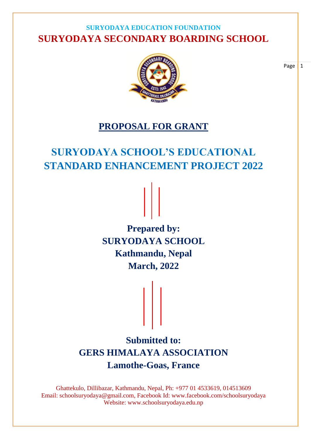## **SURYODAYA EDUCATION FOUNDATION SURYODAYA SECONDARY BOARDING SCHOOL**



# **PROPOSAL FOR GRANT**

# **SURYODAYA SCHOOL'S EDUCATIONAL STANDARD ENHANCEMENT PROJECT 2022**

**Prepared by: SURYODAYA SCHOOL Kathmandu, Nepal March, 2022**

# **Submitted to: GERS HIMALAYA ASSOCIATION Lamothe-Goas, France**

Ghattekulo, Dillibazar, Kathmandu, Nepal, Ph: +977 01 4533619, 014513609 Email: schoolsuryodaya@gmail.com, Facebook Id: www.facebook.com/schoolsuryodaya Website: www.schoolsuryodaya.edu.np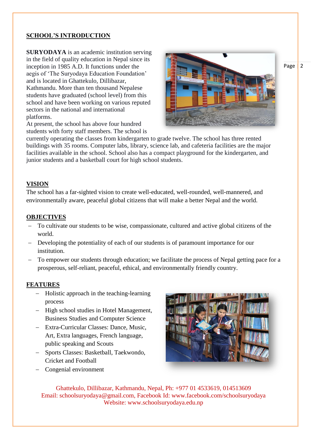#### **SCHOOL'S INTRODUCTION**

**SURYODAYA** is an academic institution serving in the field of quality education in Nepal since its inception in 1985 A.D. It functions under the aegis of 'The Suryodaya Education Foundation' and is located in Ghattekulo, Dillibazar, Kathmandu. More than ten thousand Nepalese students have graduated (school level) from this school and have been working on various reputed sectors in the national and international platforms.

At present, the school has above four hundred students with forty staff members. The school is



currently operating the classes from kindergarten to grade twelve. The school has three rented buildings with 35 rooms. Computer labs, library, science lab, and cafeteria facilities are the major facilities available in the school. School also has a compact playground for the kindergarten, and junior students and a basketball court for high school students.

#### **VISION**

The school has a far-sighted vision to create well-educated, well-rounded, well-mannered, and environmentally aware, peaceful global citizens that will make a better Nepal and the world.

#### **OBJECTIVES**

- To cultivate our students to be wise, compassionate, cultured and active global citizens of the world.
- Developing the potentiality of each of our students is of paramount importance for our institution.
- To empower our students through education; we facilitate the process of Nepal getting pace for a prosperous, self-reliant, peaceful, ethical, and environmentally friendly country.

#### **FEATURES**

- Holistic approach in the teaching-learning process
- High school studies in Hotel Management, Business Studies and Computer Science
- Extra-Curricular Classes: Dance, Music, Art, Extra languages, French language, public speaking and Scouts
- Sports Classes: Basketball, Taekwondo, Cricket and Football
- Congenial environment



Ghattekulo, Dillibazar, Kathmandu, Nepal, Ph: +977 01 4533619, 014513609 Email: schoolsuryodaya@gmail.com, Facebook Id: www.facebook.com/schoolsuryodaya Website: www.schoolsuryodaya.edu.np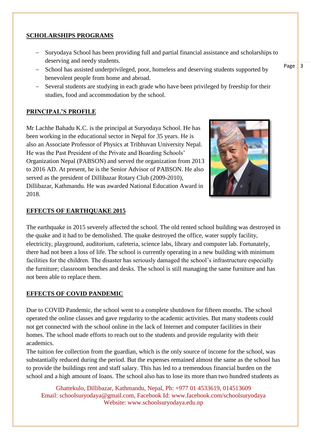#### **SCHOLARSHIPS PROGRAMS**

- Suryodaya School has been providing full and partial financial assistance and scholarships to deserving and needy students.
- School has assisted underprivileged, poor, homeless and deserving students supported by benevolent people from home and abroad.
- Several students are studying in each grade who have been privileged by freeship for their studies, food and accommodation by the school.

### **PRINCIPAL'S PROFILE**

Mr Lachhe Bahadu K.C. is the principal at Suryodaya School. He has been working in the educational sector in Nepal for 35 years. He is also an Associate Professor of Physics at Tribhuvan University Nepal. He was the Past President of the Private and Boarding Schools' Organization Nepal (PABSON) and served the organization from 2013 to 2016 AD. At present, he is the Senior Advisor of PABSON. He also served as the president of Dillibazar Rotary Club (2009-2010), Dillibazar, Kathmandu. He was awarded National Education Award in 2018.



#### **EFFECTS OF EARTHQUAKE 2015**

The earthquake in 2015 severely affected the school. The old rented school building was destroyed in the quake and it had to be demolished. The quake destroyed the office, water supply facility, electricity, playground, auditorium, cafeteria, science labs, library and computer lab. Fortunately, there had not been a loss of life. The school is currently operating in a new building with minimum facilities for the children. The disaster has seriously damaged the school's infrastructure especially the furniture; classroom benches and desks. The school is still managing the same furniture and has not been able to replace them.

#### **EFFECTS OF COVID PANDEMIC**

Due to COVID Pandemic, the school went to a complete shutdown for fifteen months. The school operated the online classes and gave regularity to the academic activities. But many students could not get connected with the school online in the lack of Internet and computer facilities in their homes. The school made efforts to reach out to the students and provide regularity with their academics.

The tuition fee collection from the guardian, which is the only source of income for the school, was substantially reduced during the period. But the expenses remained almost the same as the school has to provide the buildings rent and staff salary. This has led to a tremendous financial burden on the school and a high amount of loans. The school also has to lose its more than two hundred students as

Ghattekulo, Dillibazar, Kathmandu, Nepal, Ph: +977 01 4533619, 014513609 Email: schoolsuryodaya@gmail.com, Facebook Id: www.facebook.com/schoolsuryodaya Website: www.schoolsuryodaya.edu.np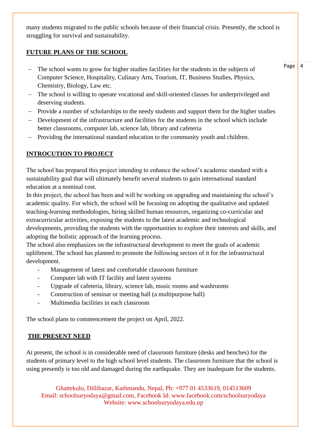many students migrated to the public schools because of their financial crisis. Presently, the school is struggling for survival and sustainability.

### **FUTURE PLANS OF THE SCHOOL**

- The school wants to grow for higher studies facilities for the students in the subjects of Computer Science, Hospitality, Culinary Arts, Tourism, IT, Business Studies, Physics, Chemistry, Biology, Law etc.
- The school is willing to operate vocational and skill-oriented classes for underprivileged and deserving students.
- Provide a number of scholarships to the needy students and support them for the higher studies
- Development of the infrastructure and facilities for the students in the school which include better classrooms, computer lab, science lab, library and cafeteria
- Providing the international standard education to the community youth and children.

## **INTROCUTION TO PROJECT**

The school has prepared this project intending to enhance the school's academic standard with a sustainability goal that will ultimately benefit several students to gain international standard education at a nominal cost.

In this project, the school has been and will be working on upgrading and maintaining the school's academic quality. For which, the school will be focusing on adopting the qualitative and updated teaching-learning methodologies, hiring skilled human resources, organizing co-curricular and extracurricular activities, exposing the students to the latest academic and technological developments, providing the students with the opportunities to explore their interests and skills, and adopting the holistic approach of the learning process.

The school also emphasizes on the infrastructural development to meet the goals of academic upliftment. The school has planned to promote the following sectors of it for the infrastructural development.

- Management of latest and comfortable classroom furniture
- Computer lab with IT facility and latest systems
- Upgrade of cafeteria, library, science lab, music rooms and washrooms
- Construction of seminar or meeting hall (a multipurpose hall)
- Multimedia facilities in each classroom

The school plans to commencement the project on April, 2022.

#### **THE PRESENT NEED**

At present, the school is in considerable need of classroom furniture (desks and benches) for the students of primary level to the high school level students. The classroom furniture that the school is using presently is too old and damaged during the earthquake. They are inadequate for the students.

Ghattekulo, Dillibazar, Kathmandu, Nepal, Ph: +977 01 4533619, 014513609 Email: schoolsuryodaya@gmail.com, Facebook Id: www.facebook.com/schoolsuryodaya Website: www.schoolsuryodaya.edu.np